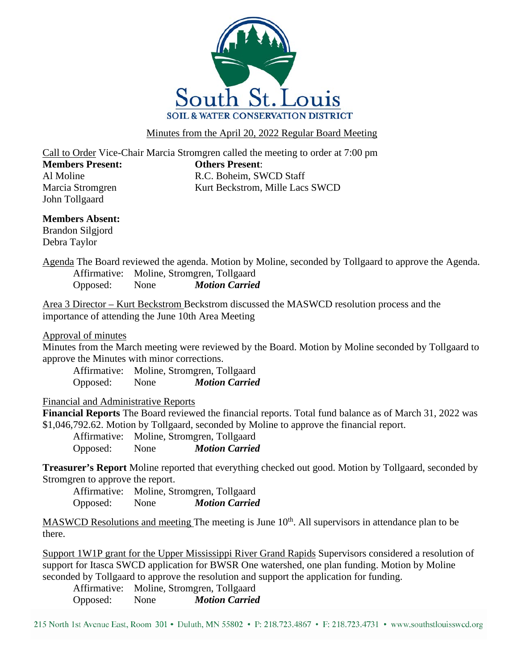

Minutes from the April 20, 2022 Regular Board Meeting

Call to Order Vice-Chair Marcia Stromgren called the meeting to order at 7:00 pm **Members Present: Others Present**: Al Moline R.C. Boheim, SWCD Staff Marcia Stromgren Kurt Beckstrom, Mille Lacs SWCD

**Members Absent:**

Brandon Silgjord Debra Taylor

John Tollgaard

Agenda The Board reviewed the agenda. Motion by Moline, seconded by Tollgaard to approve the Agenda. Affirmative: Moline, Stromgren, Tollgaard Opposed: None *Motion Carried*

Area 3 Director – Kurt Beckstrom Beckstrom discussed the MASWCD resolution process and the importance of attending the June 10th Area Meeting

Approval of minutes

Minutes from the March meeting were reviewed by the Board. Motion by Moline seconded by Tollgaard to approve the Minutes with minor corrections.

Affirmative: Moline, Stromgren, Tollgaard Opposed: None *Motion Carried*

Financial and Administrative Reports

**Financial Reports** The Board reviewed the financial reports. Total fund balance as of March 31, 2022 was \$1,046,792.62. Motion by Tollgaard, seconded by Moline to approve the financial report.

Affirmative: Moline, Stromgren, Tollgaard Opposed: None *Motion Carried*

**Treasurer's Report** Moline reported that everything checked out good. Motion by Tollgaard, seconded by Stromgren to approve the report.

Affirmative: Moline, Stromgren, Tollgaard Opposed: None *Motion Carried*

MASWCD Resolutions and meeting The meeting is June  $10<sup>th</sup>$ . All supervisors in attendance plan to be there.

Support 1W1P grant for the Upper Mississippi River Grand Rapids Supervisors considered a resolution of support for Itasca SWCD application for BWSR One watershed, one plan funding. Motion by Moline seconded by Tollgaard to approve the resolution and support the application for funding.

Affirmative: Moline, Stromgren, Tollgaard Opposed: None *Motion Carried*